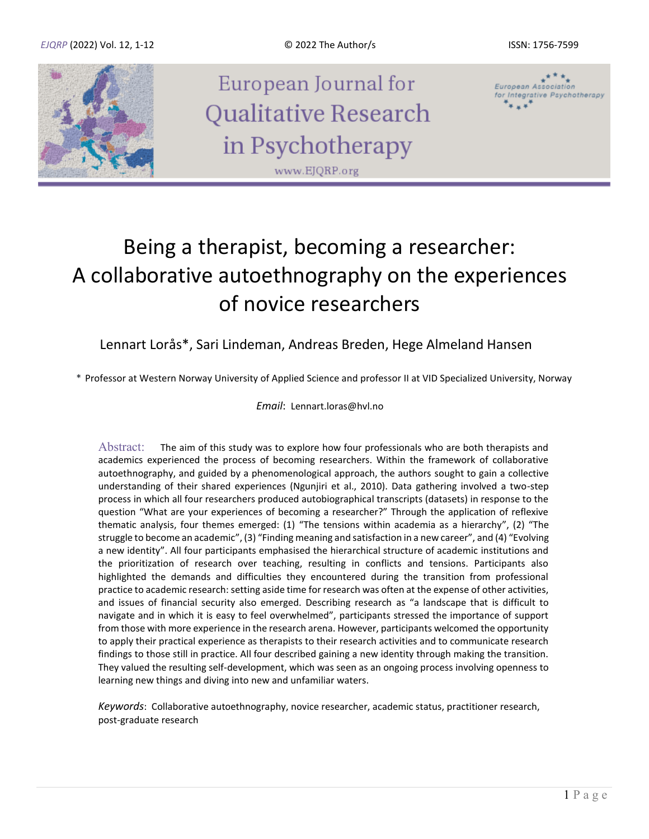

European Journal for Qualitative Research in Psychotherapy www.EJQRP.org



# Being a therapist, becoming a researcher: A collaborative autoethnography on the experiences of novice researchers

### Lennart Lorås\*, Sari Lindeman, Andreas Breden, Hege Almeland Hansen

\* Professor at Western Norway University of Applied Science and professor II at VID Specialized University, Norway

*Email*: Lennart.loras@hvl.no

Abstract: The aim of this study was to explore how four professionals who are both therapists and academics experienced the process of becoming researchers. Within the framework of collaborative autoethnography, and guided by a phenomenological approach, the authors sought to gain a collective understanding of their shared experiences (Ngunjiri et al., 2010). Data gathering involved a two-step process in which all four researchers produced autobiographical transcripts (datasets) in response to the question "What are your experiences of becoming a researcher?" Through the application of reflexive thematic analysis, four themes emerged: (1) "The tensions within academia as a hierarchy", (2) "The struggle to become an academic", (3) "Finding meaning and satisfaction in a new career", and (4) "Evolving a new identity". All four participants emphasised the hierarchical structure of academic institutions and the prioritization of research over teaching, resulting in conflicts and tensions. Participants also highlighted the demands and difficulties they encountered during the transition from professional practice to academic research: setting aside time for research was often at the expense of other activities, and issues of financial security also emerged. Describing research as "a landscape that is difficult to navigate and in which it is easy to feel overwhelmed", participants stressed the importance of support from those with more experience in the research arena. However, participants welcomed the opportunity to apply their practical experience as therapists to their research activities and to communicate research findings to those still in practice. All four described gaining a new identity through making the transition. They valued the resulting self-development, which was seen as an ongoing process involving openness to learning new things and diving into new and unfamiliar waters.

*Keywords*: Collaborative autoethnography, novice researcher, academic status, practitioner research, post-graduate research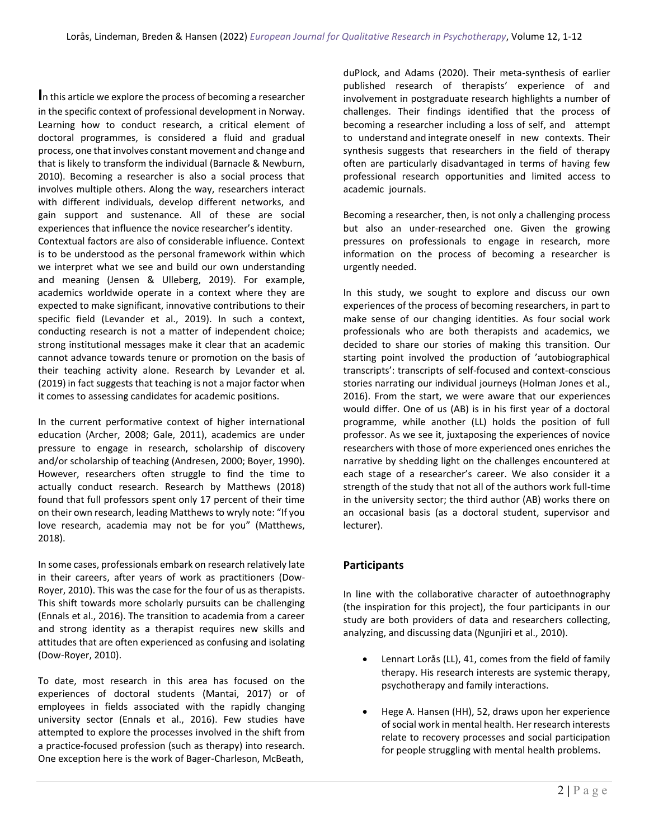**I**n this article we explore the process of becoming a researcher in the specific context of professional development in Norway. Learning how to conduct research, a critical element of doctoral programmes, is considered a fluid and gradual process, one that involves constant movement and change and that is likely to transform the individual (Barnacle & Newburn, 2010). Becoming a researcher is also a social process that involves multiple others. Along the way, researchers interact with different individuals, develop different networks, and gain support and sustenance. All of these are social experiences that influence the novice researcher's identity.

Contextual factors are also of considerable influence. Context is to be understood as the personal framework within which we interpret what we see and build our own understanding and meaning (Jensen & Ulleberg, 2019). For example, academics worldwide operate in a context where they are expected to make significant, innovative contributions to their specific field (Levander et al., 2019). In such a context, conducting research is not a matter of independent choice; strong institutional messages make it clear that an academic cannot advance towards tenure or promotion on the basis of their teaching activity alone. Research by Levander et al. (2019) in fact suggests that teaching is not a major factor when it comes to assessing candidates for academic positions.

In the current performative context of higher international education (Archer, 2008; Gale, 2011), academics are under pressure to engage in research, scholarship of discovery and/or scholarship of teaching (Andresen, 2000; Boyer, 1990). However, researchers often struggle to find the time to actually conduct research. Research by Matthews (2018) found that full professors spent only 17 percent of their time on their own research, leading Matthews to wryly note: "If you love research, academia may not be for you" (Matthews, 2018).

In some cases, professionals embark on research relatively late in their careers, after years of work as practitioners (Dow-Royer, 2010). This was the case for the four of us as therapists. This shift towards more scholarly pursuits can be challenging (Ennals et al., 2016). The transition to academia from a career and strong identity as a therapist requires new skills and attitudes that are often experienced as confusing and isolating (Dow-Royer, 2010).

To date, most research in this area has focused on the experiences of doctoral students (Mantai, 2017) or of employees in fields associated with the rapidly changing university sector (Ennals et al., 2016). Few studies have attempted to explore the processes involved in the shift from a practice-focused profession (such as therapy) into research. One exception here is the work of Bager-Charleson, McBeath,

duPlock, and Adams (2020). Their meta-synthesis of earlier published research of therapists' experience of and involvement in postgraduate research highlights a number of challenges. Their findings identified that the process of becoming a researcher including a loss of self, and attempt to understand and integrate oneself in new contexts. Their synthesis suggests that researchers in the field of therapy often are particularly disadvantaged in terms of having few professional research opportunities and limited access to academic journals.

Becoming a researcher, then, is not only a challenging process but also an under-researched one. Given the growing pressures on professionals to engage in research, more information on the process of becoming a researcher is urgently needed.

In this study, we sought to explore and discuss our own experiences of the process of becoming researchers, in part to make sense of our changing identities. As four social work professionals who are both therapists and academics, we decided to share our stories of making this transition. Our starting point involved the production of 'autobiographical transcripts': transcripts of self-focused and context-conscious stories narrating our individual journeys (Holman Jones et al., 2016). From the start, we were aware that our experiences would differ. One of us (AB) is in his first year of a doctoral programme, while another (LL) holds the position of full professor. As we see it, juxtaposing the experiences of novice researchers with those of more experienced ones enriches the narrative by shedding light on the challenges encountered at each stage of a researcher's career. We also consider it a strength of the study that not all of the authors work full-time in the university sector; the third author (AB) works there on an occasional basis (as a doctoral student, supervisor and lecturer).

### **Participants**

In line with the collaborative character of autoethnography (the inspiration for this project), the four participants in our study are both providers of data and researchers collecting, analyzing, and discussing data (Ngunjiri et al., 2010).

- Lennart Lorås (LL), 41, comes from the field of family therapy. His research interests are systemic therapy, psychotherapy and family interactions.
- Hege A. Hansen (HH), 52, draws upon her experience of social work in mental health. Her research interests relate to recovery processes and social participation for people struggling with mental health problems.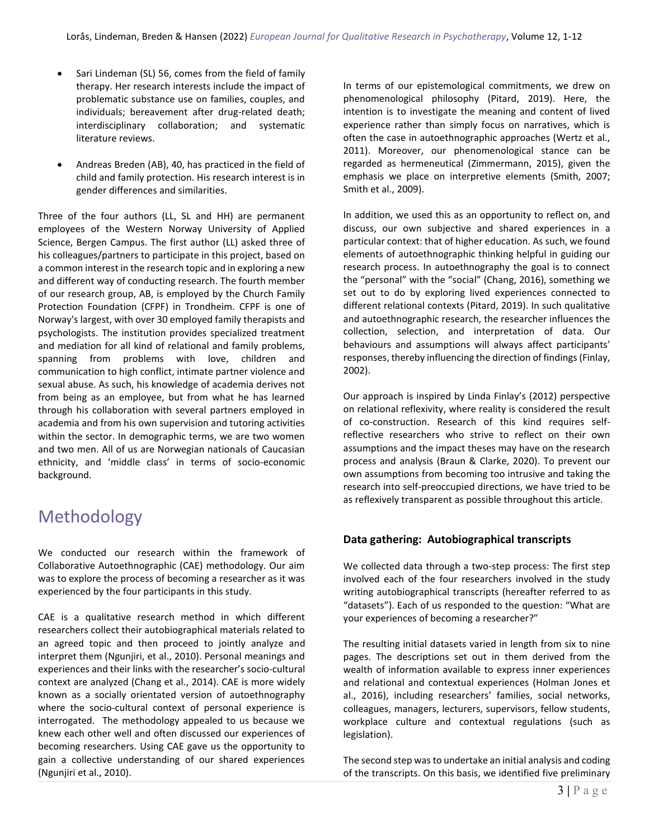- Sari Lindeman (SL) 56, comes from the field of family therapy. Her research interests include the impact of problematic substance use on families, couples, and individuals; bereavement after drug-related death; interdisciplinary collaboration; and systematic literature reviews.
- Andreas Breden (AB), 40, has practiced in the field of child and family protection. His research interest is in gender differences and similarities.

Three of the four authors (LL, SL and HH) are permanent employees of the Western Norway University of Applied Science, Bergen Campus. The first author (LL) asked three of his colleagues/partners to participate in this project, based on a common interest in the research topic and in exploring a new and different way of conducting research. The fourth member of our research group, AB, is employed by the Church Family Protection Foundation (CFPF) in Trondheim. CFPF is one of Norway's largest, with over 30 employed family therapists and psychologists. The institution provides specialized treatment and mediation for all kind of relational and family problems, spanning from problems with love, children and communication to high conflict, intimate partner violence and sexual abuse. As such, his knowledge of academia derives not from being as an employee, but from what he has learned through his collaboration with several partners employed in academia and from his own supervision and tutoring activities within the sector. In demographic terms, we are two women and two men. All of us are Norwegian nationals of Caucasian ethnicity, and 'middle class' in terms of socio-economic background.

# Methodology

We conducted our research within the framework of Collaborative Autoethnographic (CAE) methodology. Our aim was to explore the process of becoming a researcher as it was experienced by the four participants in this study.

CAE is a qualitative research method in which different researchers collect their autobiographical materials related to an agreed topic and then proceed to jointly analyze and interpret them (Ngunjiri, et al., 2010). Personal meanings and experiences and their links with the researcher's socio-cultural context are analyzed (Chang et al., 2014). CAE is more widely known as a socially orientated version of autoethnography where the socio-cultural context of personal experience is interrogated. The methodology appealed to us because we knew each other well and often discussed our experiences of becoming researchers. Using CAE gave us the opportunity to gain a collective understanding of our shared experiences (Ngunjiri et al., 2010).

In terms of our epistemological commitments, we drew on phenomenological philosophy (Pitard, 2019). Here, the intention is to investigate the meaning and content of lived experience rather than simply focus on narratives, which is often the case in autoethnographic approaches (Wertz et al., 2011). Moreover, our phenomenological stance can be regarded as hermeneutical (Zimmermann, 2015), given the emphasis we place on interpretive elements (Smith, 2007; Smith et al., 2009).

In addition, we used this as an opportunity to reflect on, and discuss, our own subjective and shared experiences in a particular context: that of higher education. As such, we found elements of autoethnographic thinking helpful in guiding our research process. In autoethnography the goal is to connect the "personal" with the "social" (Chang, 2016), something we set out to do by exploring lived experiences connected to different relational contexts (Pitard, 2019). In such qualitative and autoethnographic research, the researcher influences the collection, selection, and interpretation of data. Our behaviours and assumptions will always affect participants' responses, thereby influencing the direction of findings (Finlay, 2002).

Our approach is inspired by Linda Finlay's (2012) perspective on relational reflexivity, where reality is considered the result of co-construction. Research of this kind requires selfreflective researchers who strive to reflect on their own assumptions and the impact theses may have on the research process and analysis (Braun & Clarke, 2020). To prevent our own assumptions from becoming too intrusive and taking the research into self-preoccupied directions, we have tried to be as reflexively transparent as possible throughout this article.

### **Data gathering: Autobiographical transcripts**

We collected data through a two-step process: The first step involved each of the four researchers involved in the study writing autobiographical transcripts (hereafter referred to as "datasets"). Each of us responded to the question: "What are your experiences of becoming a researcher?"

The resulting initial datasets varied in length from six to nine pages. The descriptions set out in them derived from the wealth of information available to express inner experiences and relational and contextual experiences (Holman Jones et al., 2016), including researchers' families, social networks, colleagues, managers, lecturers, supervisors, fellow students, workplace culture and contextual regulations (such as legislation).

The second step was to undertake an initial analysis and coding of the transcripts. On this basis, we identified five preliminary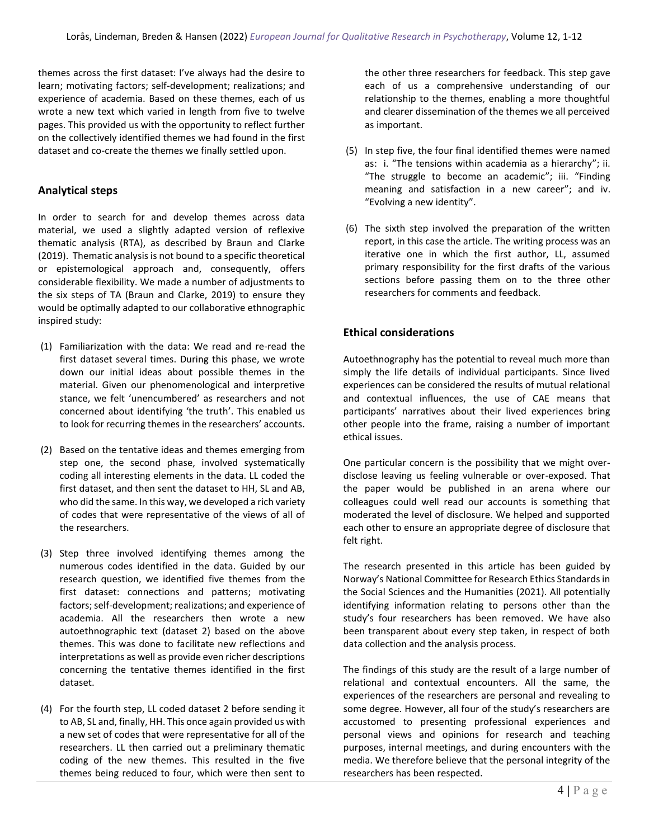themes across the first dataset: I've always had the desire to learn; motivating factors; self-development; realizations; and experience of academia. Based on these themes, each of us wrote a new text which varied in length from five to twelve pages. This provided us with the opportunity to reflect further on the collectively identified themes we had found in the first dataset and co-create the themes we finally settled upon.

### **Analytical steps**

In order to search for and develop themes across data material, we used a slightly adapted version of reflexive thematic analysis (RTA), as described by Braun and Clarke (2019). Thematic analysis is not bound to a specific theoretical or epistemological approach and, consequently, offers considerable flexibility. We made a number of adjustments to the six steps of TA (Braun and Clarke, 2019) to ensure they would be optimally adapted to our collaborative ethnographic inspired study:

- (1) Familiarization with the data: We read and re-read the first dataset several times. During this phase, we wrote down our initial ideas about possible themes in the material. Given our phenomenological and interpretive stance, we felt 'unencumbered' as researchers and not concerned about identifying 'the truth'. This enabled us to look for recurring themes in the researchers' accounts.
- (2) Based on the tentative ideas and themes emerging from step one, the second phase, involved systematically coding all interesting elements in the data. LL coded the first dataset, and then sent the dataset to HH, SL and AB, who did the same. In this way, we developed a rich variety of codes that were representative of the views of all of the researchers.
- (3) Step three involved identifying themes among the numerous codes identified in the data. Guided by our research question, we identified five themes from the first dataset: connections and patterns; motivating factors; self-development; realizations; and experience of academia. All the researchers then wrote a new autoethnographic text (dataset 2) based on the above themes. This was done to facilitate new reflections and interpretations as well as provide even richer descriptions concerning the tentative themes identified in the first dataset.
- (4) For the fourth step, LL coded dataset 2 before sending it to AB, SL and, finally, HH. This once again provided us with a new set of codes that were representative for all of the researchers. LL then carried out a preliminary thematic coding of the new themes. This resulted in the five themes being reduced to four, which were then sent to

the other three researchers for feedback. This step gave each of us a comprehensive understanding of our relationship to the themes, enabling a more thoughtful and clearer dissemination of the themes we all perceived as important.

- (5) In step five, the four final identified themes were named as: i. "The tensions within academia as a hierarchy"; ii. "The struggle to become an academic"; iii. "Finding meaning and satisfaction in a new career"; and iv. "Evolving a new identity".
- (6) The sixth step involved the preparation of the written report, in this case the article. The writing process was an iterative one in which the first author, LL, assumed primary responsibility for the first drafts of the various sections before passing them on to the three other researchers for comments and feedback.

### **Ethical considerations**

Autoethnography has the potential to reveal much more than simply the life details of individual participants. Since lived experiences can be considered the results of mutual relational and contextual influences, the use of CAE means that participants' narratives about their lived experiences bring other people into the frame, raising a number of important ethical issues.

One particular concern is the possibility that we might overdisclose leaving us feeling vulnerable or over-exposed. That the paper would be published in an arena where our colleagues could well read our accounts is something that moderated the level of disclosure. We helped and supported each other to ensure an appropriate degree of disclosure that felt right.

The research presented in this article has been guided by Norway's National Committee for Research Ethics Standards in the Social Sciences and the Humanities (2021). All potentially identifying information relating to persons other than the study's four researchers has been removed. We have also been transparent about every step taken, in respect of both data collection and the analysis process.

The findings of this study are the result of a large number of relational and contextual encounters. All the same, the experiences of the researchers are personal and revealing to some degree. However, all four of the study's researchers are accustomed to presenting professional experiences and personal views and opinions for research and teaching purposes, internal meetings, and during encounters with the media. We therefore believe that the personal integrity of the researchers has been respected.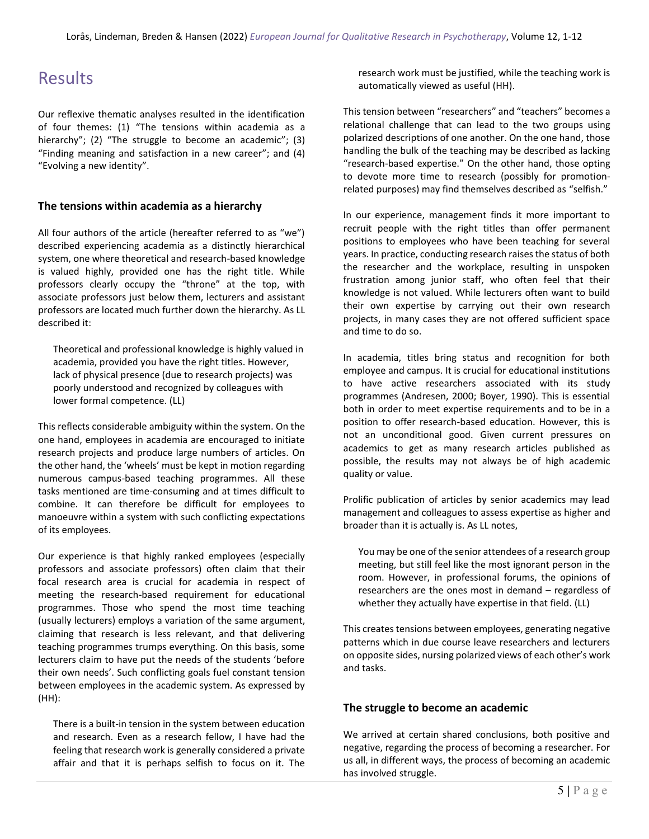## **Results**

Our reflexive thematic analyses resulted in the identification of four themes: (1) "The tensions within academia as a hierarchy"; (2) "The struggle to become an academic"; (3) "Finding meaning and satisfaction in a new career"; and (4) "Evolving a new identity".

### **The tensions within academia as a hierarchy**

All four authors of the article (hereafter referred to as "we") described experiencing academia as a distinctly hierarchical system, one where theoretical and research-based knowledge is valued highly, provided one has the right title. While professors clearly occupy the "throne" at the top, with associate professors just below them, lecturers and assistant professors are located much further down the hierarchy. As LL described it:

Theoretical and professional knowledge is highly valued in academia, provided you have the right titles. However, lack of physical presence (due to research projects) was poorly understood and recognized by colleagues with lower formal competence. (LL)

This reflects considerable ambiguity within the system. On the one hand, employees in academia are encouraged to initiate research projects and produce large numbers of articles. On the other hand, the 'wheels' must be kept in motion regarding numerous campus-based teaching programmes. All these tasks mentioned are time-consuming and at times difficult to combine. It can therefore be difficult for employees to manoeuvre within a system with such conflicting expectations of its employees.

Our experience is that highly ranked employees (especially professors and associate professors) often claim that their focal research area is crucial for academia in respect of meeting the research-based requirement for educational programmes. Those who spend the most time teaching (usually lecturers) employs a variation of the same argument, claiming that research is less relevant, and that delivering teaching programmes trumps everything. On this basis, some lecturers claim to have put the needs of the students 'before their own needs'. Such conflicting goals fuel constant tension between employees in the academic system. As expressed by (HH):

There is a built-in tension in the system between education and research. Even as a research fellow, I have had the feeling that research work is generally considered a private affair and that it is perhaps selfish to focus on it. The research work must be justified, while the teaching work is automatically viewed as useful (HH).

This tension between "researchers" and "teachers" becomes a relational challenge that can lead to the two groups using polarized descriptions of one another. On the one hand, those handling the bulk of the teaching may be described as lacking "research-based expertise." On the other hand, those opting to devote more time to research (possibly for promotionrelated purposes) may find themselves described as "selfish."

In our experience, management finds it more important to recruit people with the right titles than offer permanent positions to employees who have been teaching for several years. In practice, conducting research raises the status of both the researcher and the workplace, resulting in unspoken frustration among junior staff, who often feel that their knowledge is not valued. While lecturers often want to build their own expertise by carrying out their own research projects, in many cases they are not offered sufficient space and time to do so.

In academia, titles bring status and recognition for both employee and campus. It is crucial for educational institutions to have active researchers associated with its study programmes (Andresen, 2000; Boyer, 1990). This is essential both in order to meet expertise requirements and to be in a position to offer research-based education. However, this is not an unconditional good. Given current pressures on academics to get as many research articles published as possible, the results may not always be of high academic quality or value.

Prolific publication of articles by senior academics may lead management and colleagues to assess expertise as higher and broader than it is actually is. As LL notes,

You may be one of the senior attendees of a research group meeting, but still feel like the most ignorant person in the room. However, in professional forums, the opinions of researchers are the ones most in demand – regardless of whether they actually have expertise in that field. (LL)

This creates tensions between employees, generating negative patterns which in due course leave researchers and lecturers on opposite sides, nursing polarized views of each other's work and tasks.

### **The struggle to become an academic**

We arrived at certain shared conclusions, both positive and negative, regarding the process of becoming a researcher. For us all, in different ways, the process of becoming an academic has involved struggle.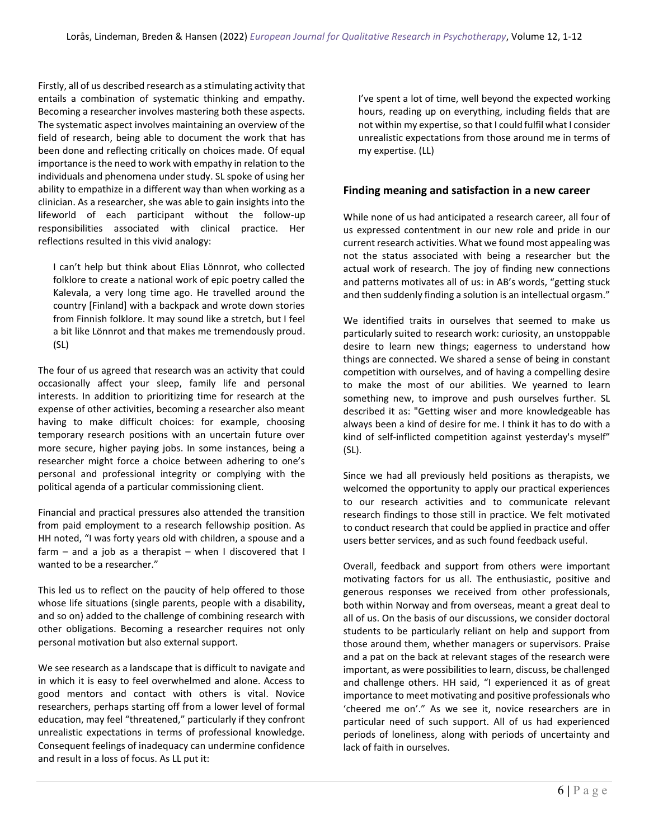Firstly, all of us described research as a stimulating activity that entails a combination of systematic thinking and empathy. Becoming a researcher involves mastering both these aspects. The systematic aspect involves maintaining an overview of the field of research, being able to document the work that has been done and reflecting critically on choices made. Of equal importance is the need to work with empathy in relation to the individuals and phenomena under study. SL spoke of using her ability to empathize in a different way than when working as a clinician. As a researcher, she was able to gain insights into the lifeworld of each participant without the follow-up responsibilities associated with clinical practice. Her reflections resulted in this vivid analogy:

I can't help but think about Elias Lönnrot, who collected folklore to create a national work of epic poetry called the Kalevala, a very long time ago. He travelled around the country [Finland] with a backpack and wrote down stories from Finnish folklore. It may sound like a stretch, but I feel a bit like Lönnrot and that makes me tremendously proud. (SL)

The four of us agreed that research was an activity that could occasionally affect your sleep, family life and personal interests. In addition to prioritizing time for research at the expense of other activities, becoming a researcher also meant having to make difficult choices: for example, choosing temporary research positions with an uncertain future over more secure, higher paying jobs. In some instances, being a researcher might force a choice between adhering to one's personal and professional integrity or complying with the political agenda of a particular commissioning client.

Financial and practical pressures also attended the transition from paid employment to a research fellowship position. As HH noted, "I was forty years old with children, a spouse and a farm – and a job as a therapist – when I discovered that I wanted to be a researcher."

This led us to reflect on the paucity of help offered to those whose life situations (single parents, people with a disability, and so on) added to the challenge of combining research with other obligations. Becoming a researcher requires not only personal motivation but also external support.

We see research as a landscape that is difficult to navigate and in which it is easy to feel overwhelmed and alone. Access to good mentors and contact with others is vital. Novice researchers, perhaps starting off from a lower level of formal education, may feel "threatened," particularly if they confront unrealistic expectations in terms of professional knowledge. Consequent feelings of inadequacy can undermine confidence and result in a loss of focus. As LL put it:

I've spent a lot of time, well beyond the expected working hours, reading up on everything, including fields that are not within my expertise, so that I could fulfil what I consider unrealistic expectations from those around me in terms of my expertise. (LL)

#### **Finding meaning and satisfaction in a new career**

While none of us had anticipated a research career, all four of us expressed contentment in our new role and pride in our current research activities. What we found most appealing was not the status associated with being a researcher but the actual work of research. The joy of finding new connections and patterns motivates all of us: in AB's words, "getting stuck and then suddenly finding a solution is an intellectual orgasm."

We identified traits in ourselves that seemed to make us particularly suited to research work: curiosity, an unstoppable desire to learn new things; eagerness to understand how things are connected. We shared a sense of being in constant competition with ourselves, and of having a compelling desire to make the most of our abilities. We yearned to learn something new, to improve and push ourselves further. SL described it as: "Getting wiser and more knowledgeable has always been a kind of desire for me. I think it has to do with a kind of self-inflicted competition against yesterday's myself" (SL).

Since we had all previously held positions as therapists, we welcomed the opportunity to apply our practical experiences to our research activities and to communicate relevant research findings to those still in practice. We felt motivated to conduct research that could be applied in practice and offer users better services, and as such found feedback useful.

Overall, feedback and support from others were important motivating factors for us all. The enthusiastic, positive and generous responses we received from other professionals, both within Norway and from overseas, meant a great deal to all of us. On the basis of our discussions, we consider doctoral students to be particularly reliant on help and support from those around them, whether managers or supervisors. Praise and a pat on the back at relevant stages of the research were important, as were possibilities to learn, discuss, be challenged and challenge others. HH said, "I experienced it as of great importance to meet motivating and positive professionals who 'cheered me on'." As we see it, novice researchers are in particular need of such support. All of us had experienced periods of loneliness, along with periods of uncertainty and lack of faith in ourselves.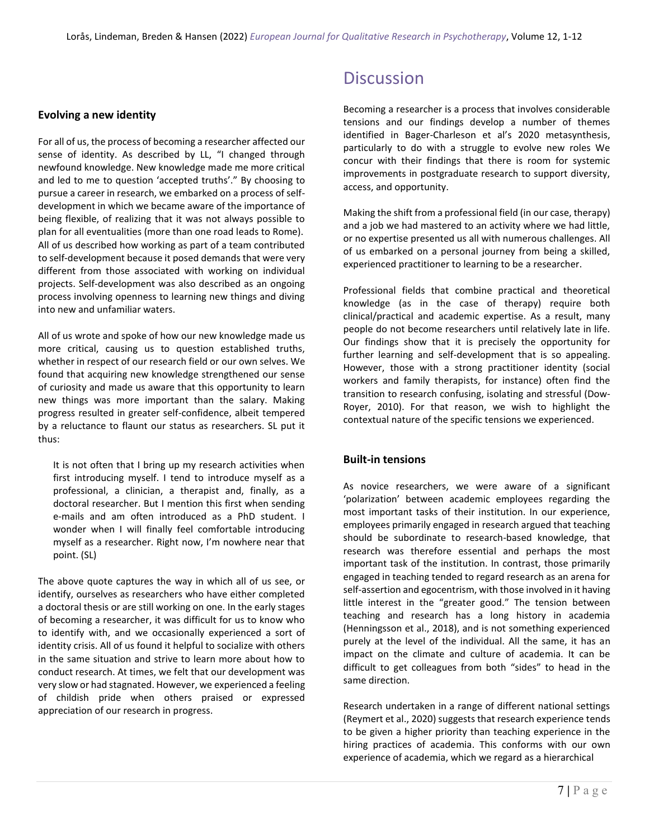### **Evolving a new identity**

For all of us, the process of becoming a researcher affected our sense of identity. As described by LL, "I changed through newfound knowledge. New knowledge made me more critical and led to me to question 'accepted truths'." By choosing to pursue a career in research, we embarked on a process of selfdevelopment in which we became aware of the importance of being flexible, of realizing that it was not always possible to plan for all eventualities (more than one road leads to Rome). All of us described how working as part of a team contributed to self-development because it posed demands that were very different from those associated with working on individual projects. Self-development was also described as an ongoing process involving openness to learning new things and diving into new and unfamiliar waters.

All of us wrote and spoke of how our new knowledge made us more critical, causing us to question established truths, whether in respect of our research field or our own selves. We found that acquiring new knowledge strengthened our sense of curiosity and made us aware that this opportunity to learn new things was more important than the salary. Making progress resulted in greater self-confidence, albeit tempered by a reluctance to flaunt our status as researchers. SL put it thus:

It is not often that I bring up my research activities when first introducing myself. I tend to introduce myself as a professional, a clinician, a therapist and, finally, as a doctoral researcher. But I mention this first when sending e-mails and am often introduced as a PhD student. I wonder when I will finally feel comfortable introducing myself as a researcher. Right now, I'm nowhere near that point. (SL)

The above quote captures the way in which all of us see, or identify, ourselves as researchers who have either completed a doctoral thesis or are still working on one. In the early stages of becoming a researcher, it was difficult for us to know who to identify with, and we occasionally experienced a sort of identity crisis. All of us found it helpful to socialize with others in the same situation and strive to learn more about how to conduct research. At times, we felt that our development was very slow or had stagnated. However, we experienced a feeling of childish pride when others praised or expressed appreciation of our research in progress.

### **Discussion**

Becoming a researcher is a process that involves considerable tensions and our findings develop a number of themes identified in Bager-Charleson et al's 2020 metasynthesis, particularly to do with a struggle to evolve new roles We concur with their findings that there is room for systemic improvements in postgraduate research to support diversity, access, and opportunity.

Making the shift from a professional field (in our case, therapy) and a job we had mastered to an activity where we had little, or no expertise presented us all with numerous challenges. All of us embarked on a personal journey from being a skilled, experienced practitioner to learning to be a researcher.

Professional fields that combine practical and theoretical knowledge (as in the case of therapy) require both clinical/practical and academic expertise. As a result, many people do not become researchers until relatively late in life. Our findings show that it is precisely the opportunity for further learning and self-development that is so appealing. However, those with a strong practitioner identity (social workers and family therapists, for instance) often find the transition to research confusing, isolating and stressful (Dow-Royer, 2010). For that reason, we wish to highlight the contextual nature of the specific tensions we experienced.

#### **Built-in tensions**

As novice researchers, we were aware of a significant 'polarization' between academic employees regarding the most important tasks of their institution. In our experience, employees primarily engaged in research argued that teaching should be subordinate to research-based knowledge, that research was therefore essential and perhaps the most important task of the institution. In contrast, those primarily engaged in teaching tended to regard research as an arena for self-assertion and egocentrism, with those involved in it having little interest in the "greater good." The tension between teaching and research has a long history in academia (Henningsson et al., 2018), and is not something experienced purely at the level of the individual. All the same, it has an impact on the climate and culture of academia. It can be difficult to get colleagues from both "sides" to head in the same direction.

Research undertaken in a range of different national settings (Reymert et al., 2020) suggests that research experience tends to be given a higher priority than teaching experience in the hiring practices of academia. This conforms with our own experience of academia, which we regard as a hierarchical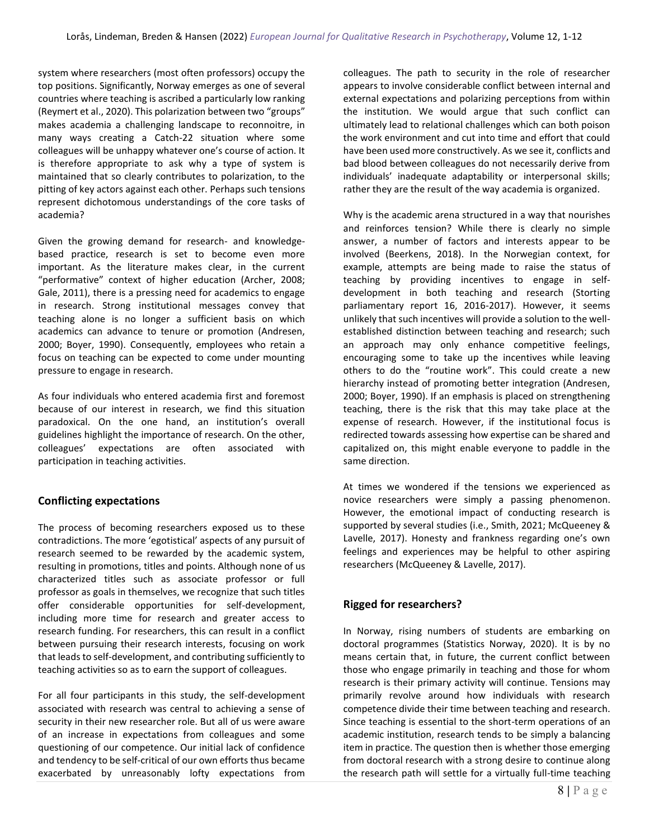system where researchers (most often professors) occupy the top positions. Significantly, Norway emerges as one of several countries where teaching is ascribed a particularly low ranking (Reymert et al., 2020). This polarization between two "groups" makes academia a challenging landscape to reconnoitre, in many ways creating a Catch-22 situation where some colleagues will be unhappy whatever one's course of action. It is therefore appropriate to ask why a type of system is maintained that so clearly contributes to polarization, to the pitting of key actors against each other. Perhaps such tensions represent dichotomous understandings of the core tasks of academia?

Given the growing demand for research- and knowledgebased practice, research is set to become even more important. As the literature makes clear, in the current "performative" context of higher education (Archer, 2008; Gale, 2011), there is a pressing need for academics to engage in research. Strong institutional messages convey that teaching alone is no longer a sufficient basis on which academics can advance to tenure or promotion (Andresen, 2000; Boyer, 1990). Consequently, employees who retain a focus on teaching can be expected to come under mounting pressure to engage in research.

As four individuals who entered academia first and foremost because of our interest in research, we find this situation paradoxical. On the one hand, an institution's overall guidelines highlight the importance of research. On the other, colleagues' expectations are often associated with participation in teaching activities.

### **Conflicting expectations**

The process of becoming researchers exposed us to these contradictions. The more 'egotistical' aspects of any pursuit of research seemed to be rewarded by the academic system, resulting in promotions, titles and points. Although none of us characterized titles such as associate professor or full professor as goals in themselves, we recognize that such titles offer considerable opportunities for self-development, including more time for research and greater access to research funding. For researchers, this can result in a conflict between pursuing their research interests, focusing on work that leads to self-development, and contributing sufficiently to teaching activities so as to earn the support of colleagues.

For all four participants in this study, the self-development associated with research was central to achieving a sense of security in their new researcher role. But all of us were aware of an increase in expectations from colleagues and some questioning of our competence. Our initial lack of confidence and tendency to be self-critical of our own efforts thus became exacerbated by unreasonably lofty expectations from colleagues. The path to security in the role of researcher appears to involve considerable conflict between internal and external expectations and polarizing perceptions from within the institution. We would argue that such conflict can ultimately lead to relational challenges which can both poison the work environment and cut into time and effort that could have been used more constructively. As we see it, conflicts and bad blood between colleagues do not necessarily derive from individuals' inadequate adaptability or interpersonal skills; rather they are the result of the way academia is organized.

Why is the academic arena structured in a way that nourishes and reinforces tension? While there is clearly no simple answer, a number of factors and interests appear to be involved (Beerkens, 2018). In the Norwegian context, for example, attempts are being made to raise the status of teaching by providing incentives to engage in selfdevelopment in both teaching and research (Storting parliamentary report 16, 2016-2017). However, it seems unlikely that such incentives will provide a solution to the wellestablished distinction between teaching and research; such an approach may only enhance competitive feelings, encouraging some to take up the incentives while leaving others to do the "routine work". This could create a new hierarchy instead of promoting better integration (Andresen, 2000; Boyer, 1990). If an emphasis is placed on strengthening teaching, there is the risk that this may take place at the expense of research. However, if the institutional focus is redirected towards assessing how expertise can be shared and capitalized on, this might enable everyone to paddle in the same direction.

At times we wondered if the tensions we experienced as novice researchers were simply a passing phenomenon. However, the emotional impact of conducting research is supported by several studies (i.e., Smith, 2021; McQueeney & Lavelle, 2017). Honesty and frankness regarding one's own feelings and experiences may be helpful to other aspiring researchers (McQueeney & Lavelle, 2017).

### **Rigged for researchers?**

In Norway, rising numbers of students are embarking on doctoral programmes (Statistics Norway, 2020). It is by no means certain that, in future, the current conflict between those who engage primarily in teaching and those for whom research is their primary activity will continue. Tensions may primarily revolve around how individuals with research competence divide their time between teaching and research. Since teaching is essential to the short-term operations of an academic institution, research tends to be simply a balancing item in practice. The question then is whether those emerging from doctoral research with a strong desire to continue along the research path will settle for a virtually full-time teaching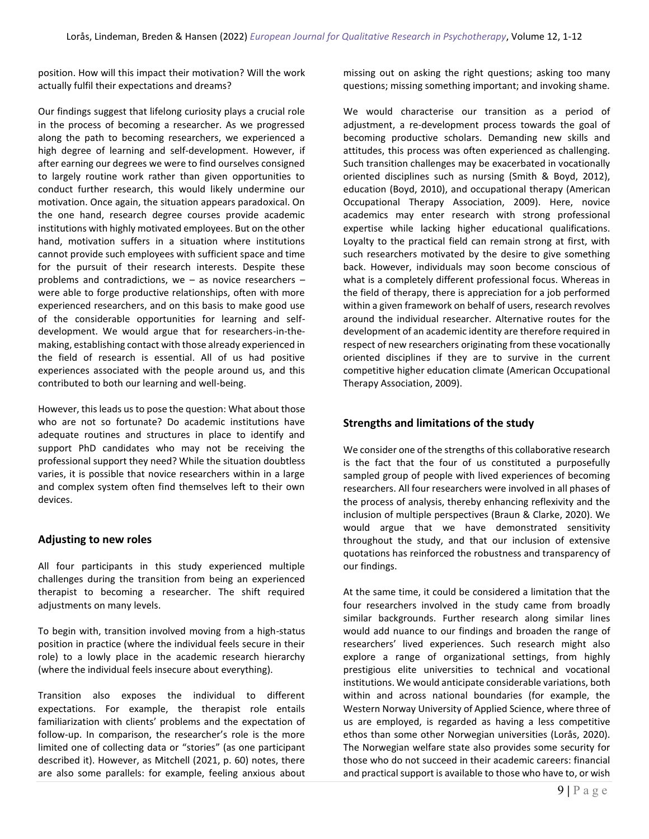position. How will this impact their motivation? Will the work actually fulfil their expectations and dreams?

Our findings suggest that lifelong curiosity plays a crucial role in the process of becoming a researcher. As we progressed along the path to becoming researchers, we experienced a high degree of learning and self-development. However, if after earning our degrees we were to find ourselves consigned to largely routine work rather than given opportunities to conduct further research, this would likely undermine our motivation. Once again, the situation appears paradoxical. On the one hand, research degree courses provide academic institutions with highly motivated employees. But on the other hand, motivation suffers in a situation where institutions cannot provide such employees with sufficient space and time for the pursuit of their research interests. Despite these problems and contradictions, we – as novice researchers – were able to forge productive relationships, often with more experienced researchers, and on this basis to make good use of the considerable opportunities for learning and selfdevelopment. We would argue that for researchers-in-themaking, establishing contact with those already experienced in the field of research is essential. All of us had positive experiences associated with the people around us, and this contributed to both our learning and well-being.

However, this leads us to pose the question: What about those who are not so fortunate? Do academic institutions have adequate routines and structures in place to identify and support PhD candidates who may not be receiving the professional support they need? While the situation doubtless varies, it is possible that novice researchers within in a large and complex system often find themselves left to their own devices.

### **Adjusting to new roles**

All four participants in this study experienced multiple challenges during the transition from being an experienced therapist to becoming a researcher. The shift required adjustments on many levels.

To begin with, transition involved moving from a high-status position in practice (where the individual feels secure in their role) to a lowly place in the academic research hierarchy (where the individual feels insecure about everything).

Transition also exposes the individual to different expectations. For example, the therapist role entails familiarization with clients' problems and the expectation of follow-up. In comparison, the researcher's role is the more limited one of collecting data or "stories" (as one participant described it). However, as Mitchell (2021, p. 60) notes, there are also some parallels: for example, feeling anxious about missing out on asking the right questions; asking too many questions; missing something important; and invoking shame.

We would characterise our transition as a period of adjustment, a re-development process towards the goal of becoming productive scholars. Demanding new skills and attitudes, this process was often experienced as challenging. Such transition challenges may be exacerbated in vocationally oriented disciplines such as nursing (Smith & Boyd, 2012), education (Boyd, 2010), and occupational therapy (American Occupational Therapy Association, 2009). Here, novice academics may enter research with strong professional expertise while lacking higher educational qualifications. Loyalty to the practical field can remain strong at first, with such researchers motivated by the desire to give something back. However, individuals may soon become conscious of what is a completely different professional focus. Whereas in the field of therapy, there is appreciation for a job performed within a given framework on behalf of users, research revolves around the individual researcher. Alternative routes for the development of an academic identity are therefore required in respect of new researchers originating from these vocationally oriented disciplines if they are to survive in the current competitive higher education climate (American Occupational Therapy Association, 2009).

### **Strengths and limitations of the study**

We consider one of the strengths of this collaborative research is the fact that the four of us constituted a purposefully sampled group of people with lived experiences of becoming researchers. All four researchers were involved in all phases of the process of analysis, thereby enhancing reflexivity and the inclusion of multiple perspectives (Braun & Clarke, 2020). We would argue that we have demonstrated sensitivity throughout the study, and that our inclusion of extensive quotations has reinforced the robustness and transparency of our findings.

At the same time, it could be considered a limitation that the four researchers involved in the study came from broadly similar backgrounds. Further research along similar lines would add nuance to our findings and broaden the range of researchers' lived experiences. Such research might also explore a range of organizational settings, from highly prestigious elite universities to technical and vocational institutions. We would anticipate considerable variations, both within and across national boundaries (for example, the Western Norway University of Applied Science, where three of us are employed, is regarded as having a less competitive ethos than some other Norwegian universities (Lorås, 2020). The Norwegian welfare state also provides some security for those who do not succeed in their academic careers: financial and practical support is available to those who have to, or wish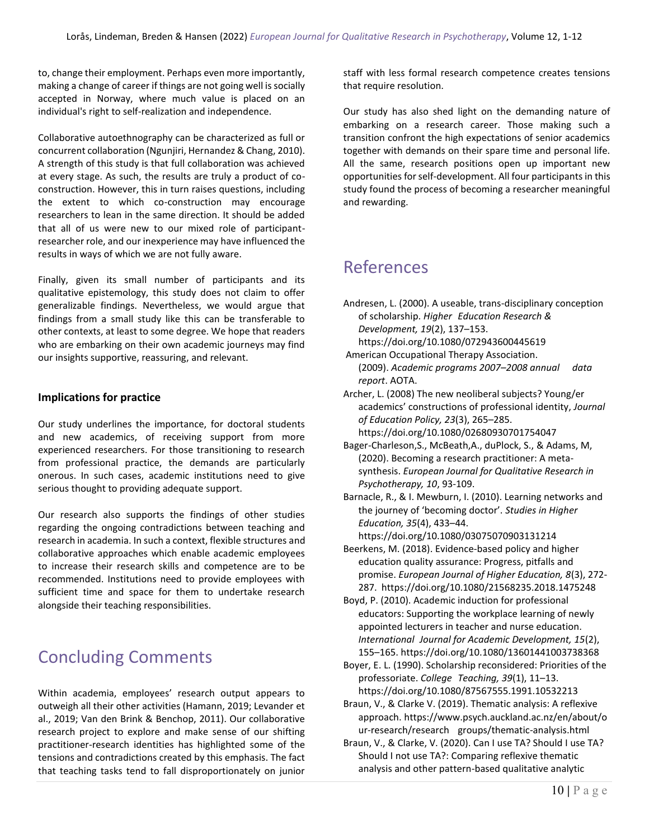to, change their employment. Perhaps even more importantly, making a change of career if things are not going well is socially accepted in Norway, where much value is placed on an individual's right to self-realization and independence.

Collaborative autoethnography can be characterized as full or concurrent collaboration (Ngunjiri, Hernandez & Chang, 2010). A strength of this study is that full collaboration was achieved at every stage. As such, the results are truly a product of coconstruction. However, this in turn raises questions, including the extent to which co-construction may encourage researchers to lean in the same direction. It should be added that all of us were new to our mixed role of participantresearcher role, and our inexperience may have influenced the results in ways of which we are not fully aware.

Finally, given its small number of participants and its qualitative epistemology, this study does not claim to offer generalizable findings. Nevertheless, we would argue that findings from a small study like this can be transferable to other contexts, at least to some degree. We hope that readers who are embarking on their own academic journeys may find our insights supportive, reassuring, and relevant.

### **Implications for practice**

Our study underlines the importance, for doctoral students and new academics, of receiving support from more experienced researchers. For those transitioning to research from professional practice, the demands are particularly onerous. In such cases, academic institutions need to give serious thought to providing adequate support.

Our research also supports the findings of other studies regarding the ongoing contradictions between teaching and research in academia. In such a context, flexible structures and collaborative approaches which enable academic employees to increase their research skills and competence are to be recommended. Institutions need to provide employees with sufficient time and space for them to undertake research alongside their teaching responsibilities.

# Concluding Comments

Within academia, employees' research output appears to outweigh all their other activities (Hamann, 2019; Levander et al., 2019; Van den Brink & Benchop, 2011). Our collaborative research project to explore and make sense of our shifting practitioner-research identities has highlighted some of the tensions and contradictions created by this emphasis. The fact that teaching tasks tend to fall disproportionately on junior staff with less formal research competence creates tensions that require resolution.

Our study has also shed light on the demanding nature of embarking on a research career. Those making such a transition confront the high expectations of senior academics together with demands on their spare time and personal life. All the same, research positions open up important new opportunities for self-development. All four participants in this study found the process of becoming a researcher meaningful and rewarding.

# References

- Andresen, L. (2000). A useable, trans-disciplinary conception of scholarship. *Higher Education Research & Development, 19*(2), 137–153.
- https://doi.org/10.1080/072943600445619 American Occupational Therapy Association.
- (2009). *Academic programs 2007–2008 annual data report*. AOTA.
- Archer, L. (2008) The new neoliberal subjects? Young/er academics' constructions of professional identity, *Journal of Education Policy, 23*(3), 265–285.
	- https://doi.org/10.1080/02680930701754047
- Bager-Charleson,S., McBeath,A., duPlock, S., & Adams, M, (2020). Becoming a research practitioner: A metasynthesis. *European Journal for Qualitative Research in Psychotherapy, 10*, 93-109.
- Barnacle, R., & I. Mewburn, I. (2010). Learning networks and the journey of 'becoming doctor'. *Studies in Higher Education, 35*(4), 433–44.
- https://doi.org/10.1080/03075070903131214 Beerkens, M. (2018). Evidence-based policy and higher education quality assurance: Progress, pitfalls and promise. *European Journal of Higher Education, 8*(3), 272- 287. https://doi.org/10.1080/21568235.2018.1475248
- Boyd, P. (2010). Academic induction for professional educators: Supporting the workplace learning of newly appointed lecturers in teacher and nurse education. *International Journal for Academic Development, 15*(2), 155–165[. https://doi.org/10.1080/13601441003738368](https://doi.org/10.1080/13601441003738368)
- Boyer, E. L. (1990). Scholarship reconsidered: Priorities of the professoriate. *College Teaching, 39*(1), 11–13. https://doi.org/10.1080/87567555.1991.10532213
- Braun, V., & Clarke V. (2019). Thematic analysis: A reflexive approach. https://www.psych.auckland.ac.nz/en/about/o ur-research/research groups/thematic-analysis.html
- Braun, V., & Clarke, V. (2020). Can I use TA? Should I use TA? Should I not use TA?: Comparing reflexive thematic analysis and other pattern-based qualitative analytic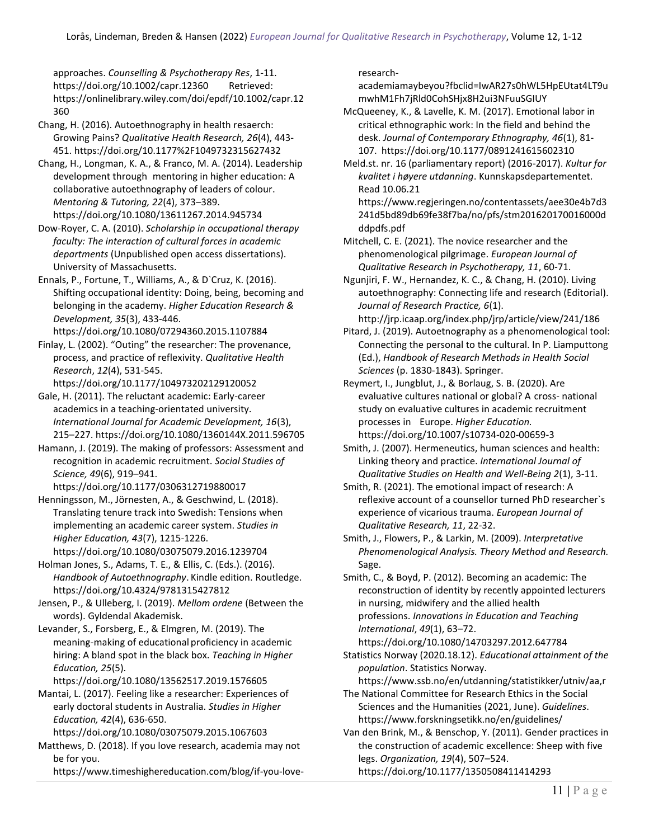approaches. *Counselling & Psychotherapy Res*, 1-11. <https://doi.org/10.1002/capr.12360> Retrieved: https://onlinelibrary.wiley.com/doi/epdf/10.1002/capr.12 360

Chang, H. (2016). Autoethnography in health resaerch: Growing Pains? *Qualitative Health Research, 26*(4), 443- 451. https://doi.org/10.1177%2F1049732315627432

Chang, H., Longman, K. A., & Franco, M. A. (2014). Leadership development through mentoring in higher education: A collaborative autoethnography of leaders of colour. *Mentoring & Tutoring, 22*(4), 373–389. https://doi.org/10.1080/13611267.2014.945734

Dow-Royer, C. A. (2010). *Scholarship in occupational therapy faculty: The interaction of cultural forces in academic departments* (Unpublished open access dissertations). University of Massachusetts.

Ennals, P., Fortune, T., Williams, A., & D`Cruz, K. (2016). Shifting occupational identity: Doing, being, becoming and belonging in the academy. *Higher Education Research & Development, 35*(3), 433-446.

https://doi.org/10.1080/07294360.2015.1107884 Finlay, L. (2002). "Outing" the researcher: The provenance, process, and practice of reflexivity. *Qualitative Health Research*, *12*(4), 531-545.

https://doi.org/10.1177/104973202129120052 Gale, H. (2011). The reluctant academic: Early-career

academics in a teaching-orientated university. *International Journal for Academic Development, 16*(3), 215–227.<https://doi.org/10.1080/1360144X.2011.596705>

Hamann, J. (2019). The making of professors: Assessment and recognition in academic recruitment. *Social Studies of Science, 49*(6), 919–941.

https://doi.org/10.1177/0306312719880017 Henningsson, M., Jörnesten, A., & Geschwind, L. (2018). Translating tenure track into Swedish: Tensions when

implementing an academic career system. *Studies in Higher Education, 43*(7), 1215-1226. https://doi.org/10.1080/03075079.2016.1239704

Holman Jones, S., Adams, T. E., & Ellis, C. (Eds.). (2016). *Handbook of Autoethnography*. Kindle edition. Routledge. https://doi.org/10.4324/9781315427812

Jensen, P., & Ulleberg, I. (2019). *Mellom ordene* (Between the words). Gyldendal Akademisk.

Levander, S., Forsberg, E., & Elmgren, M. (2019). The meaning-making of educational proficiency in academic hiring: A bland spot in the black box. *Teaching in Higher Education, 25*(5).

https://doi.org/10.1080/13562517.2019.1576605

Mantai, L. (2017). Feeling like a researcher: Experiences of early doctoral students in Australia. *Studies in Higher Education, 42*(4), 636-650.

<https://doi.org/10.1080/03075079.2015.1067603>

Matthews, D. (2018). If you love research, academia may not be for you.

https://www.timeshighereducation.com/blog/if-you-love-

#### research-

academiamaybeyou?fbclid=IwAR27s0hWL5HpEUtat4LT9u mwhM1Fh7jRld0CohSHjx8H2ui3NFuuSGIUY

McQueeney, K., & Lavelle, K. M. (2017). Emotional labor in critical ethnographic work: In the field and behind the desk. *Journal of Contemporary Ethnography, 46*(1), 81- 107. https://doi.org/10.1177/0891241615602310

Meld.st. nr. 16 (parliamentary report) (2016-2017). *Kultur for kvalitet i høyere utdanning*. Kunnskapsdepartementet. Read 10.06.21

https://www.regjeringen.no/contentassets/aee30e4b7d3 241d5bd89db69fe38f7ba/no/pfs/stm201620170016000d ddpdfs.pdf

Mitchell, C. E. (2021). The novice researcher and the phenomenological pilgrimage. *European Journal of Qualitative Research in Psychotherapy, 11*, 60-71.

Ngunjiri, F. W., Hernandez, K. C., & Chang, H. (2010). Living autoethnography: Connecting life and research (Editorial). *Journal of Research Practice, 6*(1).

http://jrp.icaap.org/index.php/jrp/article/view/241/186

- Pitard, J. (2019). Autoetnography as a phenomenological tool: Connecting the personal to the cultural. In P. Liamputtong (Ed.), *Handbook of Research Methods in Health Social Sciences* (p. 1830-1843). Springer.
- Reymert, I., Jungblut, J., & Borlaug, S. B. (2020). Are evaluative cultures national or global? A cross- national study on evaluative cultures in academic recruitment processes in Europe. *Higher Education.*  https://doi.org/10.1007/s10734-020-00659-3

Smith, J. (2007). Hermeneutics, human sciences and health: Linking theory and practice. *International Journal of Qualitative Studies on Health and Well-Being 2*(1), 3-11.

Smith, R. (2021). The emotional impact of research: A reflexive account of a counsellor turned PhD researcher`s experience of vicarious trauma. *European Journal of Qualitative Research, 11*, 22-32.

Smith, J., Flowers, P., & Larkin, M. (2009). *Interpretative Phenomenological Analysis. Theory Method and Research.*  Sage.

Smith, C., & Boyd, P. (2012). Becoming an academic: The reconstruction of identity by recently appointed lecturers in nursing, midwifery and the allied health professions. *Innovations in Education and Teaching International*, *49*(1), 63–72. https://doi.org/10.1080/14703297.2012.647784

Statistics Norway (2020.18.12). *Educational attainment of the population*. Statistics Norway.

https://www.ssb.no/en/utdanning/statistikker/utniv/aa,r The National Committee for Research Ethics in the Social

Sciences and the Humanities (2021, June). *Guidelines*. https://www.forskningsetikk.no/en/guidelines/

Van den Brink, M., & Benschop, Y. (2011). Gender practices in the construction of academic excellence: Sheep with five legs. *Organization, 19*(4), 507–524. <https://doi.org/10.1177/1350508411414293>